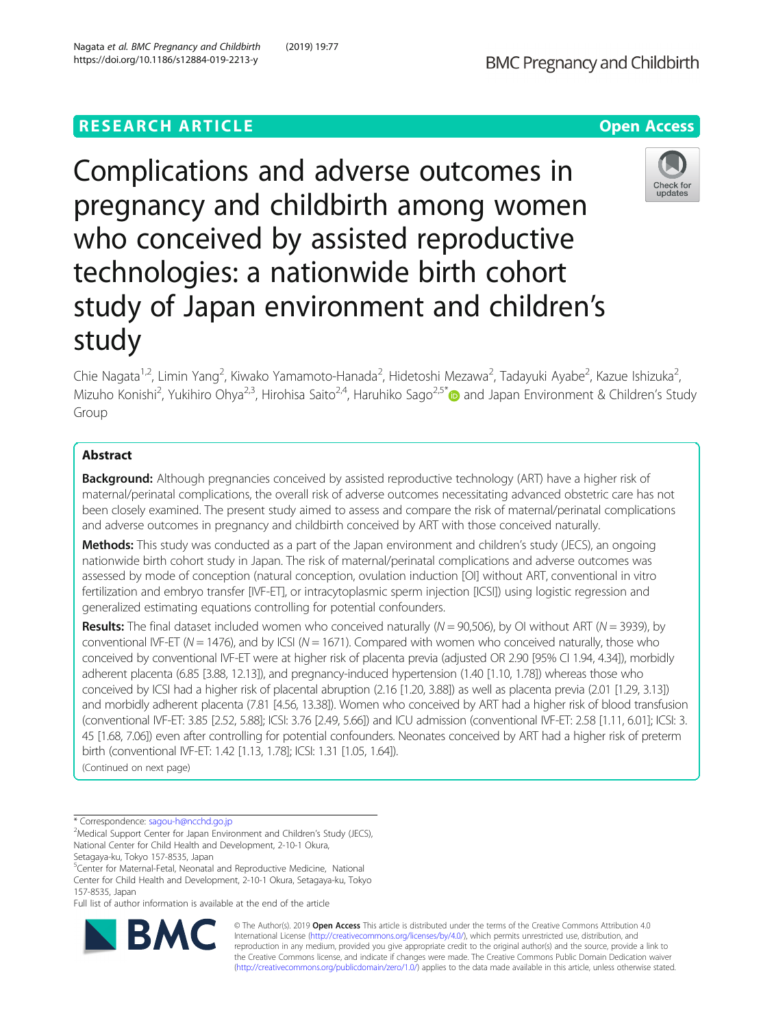# **RESEARCH ARTICLE Example 2018 12:30 THE Open Access**

Complications and adverse outcomes in pregnancy and childbirth among women who conceived by assisted reproductive technologies: a nationwide birth cohort study of Japan environment and children's study

Chie Nagata<sup>1,2</sup>, Limin Yang<sup>2</sup>, Kiwako Yamamoto-Hanada<sup>2</sup>, Hidetoshi Mezawa<sup>2</sup>, Tadayuki Ayabe<sup>2</sup>, Kazue Ishizuka<sup>2</sup> , Mizuho Konishi<sup>2</sup>, Yukihiro Ohya<sup>2,3</sup>, Hirohisa Saito<sup>2,4</sup>, Haruhiko Sago<sup>2,5[\\*](http://orcid.org/0000-0001-9387-1849)</sup> and Japan Environment & Children's Study Group

## Abstract

**Background:** Although pregnancies conceived by assisted reproductive technology (ART) have a higher risk of maternal/perinatal complications, the overall risk of adverse outcomes necessitating advanced obstetric care has not been closely examined. The present study aimed to assess and compare the risk of maternal/perinatal complications and adverse outcomes in pregnancy and childbirth conceived by ART with those conceived naturally.

Methods: This study was conducted as a part of the Japan environment and children's study (JECS), an ongoing nationwide birth cohort study in Japan. The risk of maternal/perinatal complications and adverse outcomes was assessed by mode of conception (natural conception, ovulation induction [OI] without ART, conventional in vitro fertilization and embryo transfer [IVF-ET], or intracytoplasmic sperm injection [ICSI]) using logistic regression and generalized estimating equations controlling for potential confounders.

**Results:** The final dataset included women who conceived naturally ( $N = 90,506$ ), by OI without ART ( $N = 3939$ ), by conventional IVF-ET ( $N = 1476$ ), and by ICSI ( $N = 1671$ ). Compared with women who conceived naturally, those who conceived by conventional IVF-ET were at higher risk of placenta previa (adjusted OR 2.90 [95% CI 1.94, 4.34]), morbidly adherent placenta (6.85 [3.88, 12.13]), and pregnancy-induced hypertension (1.40 [1.10, 1.78]) whereas those who conceived by ICSI had a higher risk of placental abruption (2.16 [1.20, 3.88]) as well as placenta previa (2.01 [1.29, 3.13]) and morbidly adherent placenta (7.81 [4.56, 13.38]). Women who conceived by ART had a higher risk of blood transfusion (conventional IVF-ET: 3.85 [2.52, 5.88]; ICSI: 3.76 [2.49, 5.66]) and ICU admission (conventional IVF-ET: 2.58 [1.11, 6.01]; ICSI: 3. 45 [1.68, 7.06]) even after controlling for potential confounders. Neonates conceived by ART had a higher risk of preterm birth (conventional IVF-ET: 1.42 [1.13, 1.78]; ICSI: 1.31 [1.05, 1.64]). (Continued on next page)

\* Correspondence: [sagou-h@ncchd.go.jp](mailto:sagou-h@ncchd.go.jp) <sup>2</sup>

Setagaya-ku, Tokyo 157-8535, Japan

<sup>5</sup>Center for Maternal-Fetal, Neonatal and Reproductive Medicine, National Center for Child Health and Development, 2-10-1 Okura, Setagaya-ku, Tokyo 157-8535, Japan

Full list of author information is available at the end of the article

© The Author(s). 2019 Open Access This article is distributed under the terms of the Creative Commons Attribution 4.0 International License [\(http://creativecommons.org/licenses/by/4.0/](http://creativecommons.org/licenses/by/4.0/)), which permits unrestricted use, distribution, and reproduction in any medium, provided you give appropriate credit to the original author(s) and the source, provide a link to the Creative Commons license, and indicate if changes were made. The Creative Commons Public Domain Dedication waiver [\(http://creativecommons.org/publicdomain/zero/1.0/](http://creativecommons.org/publicdomain/zero/1.0/)) applies to the data made available in this article, unless otherwise stated.





<sup>&</sup>lt;sup>2</sup>Medical Support Center for Japan Environment and Children's Study (JECS), National Center for Child Health and Development, 2-10-1 Okura,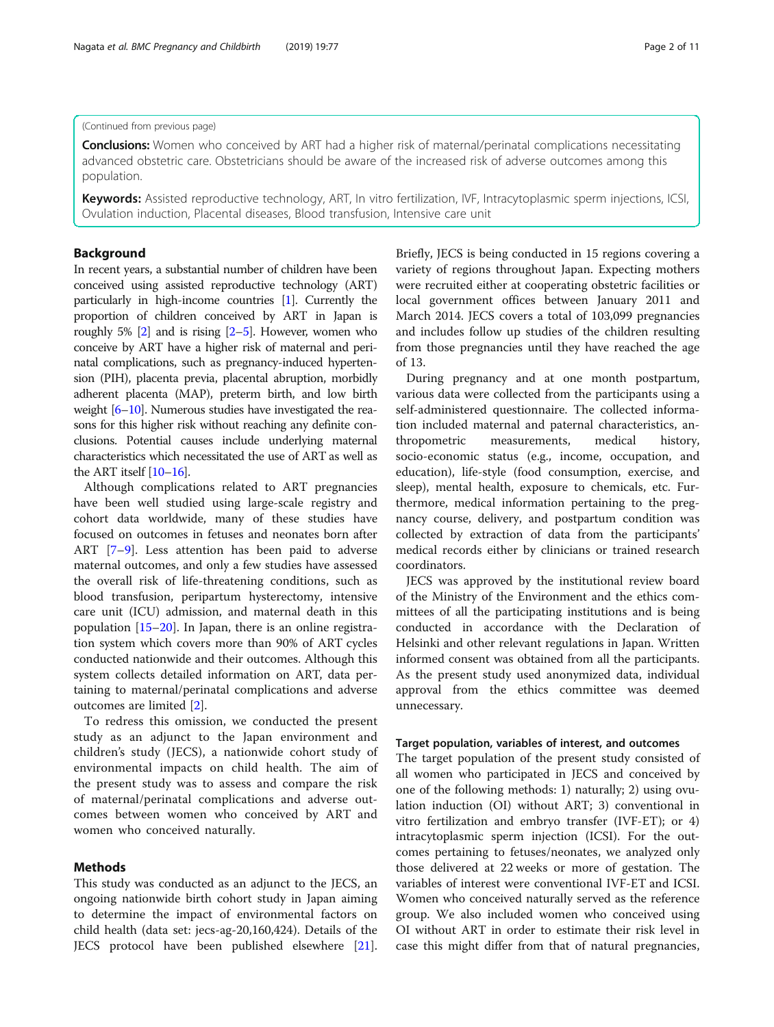## (Continued from previous page)

Conclusions: Women who conceived by ART had a higher risk of maternal/perinatal complications necessitating advanced obstetric care. Obstetricians should be aware of the increased risk of adverse outcomes among this population.

Keywords: Assisted reproductive technology, ART, In vitro fertilization, IVF, Intracytoplasmic sperm injections, ICSI, Ovulation induction, Placental diseases, Blood transfusion, Intensive care unit

## Background

In recent years, a substantial number of children have been conceived using assisted reproductive technology (ART) particularly in high-income countries [[1](#page-9-0)]. Currently the proportion of children conceived by ART in Japan is roughly 5%  $[2]$  $[2]$  and is rising  $[2-5]$  $[2-5]$ . However, women who conceive by ART have a higher risk of maternal and perinatal complications, such as pregnancy-induced hypertension (PIH), placenta previa, placental abruption, morbidly adherent placenta (MAP), preterm birth, and low birth weight [\[6](#page-9-0)–[10](#page-9-0)]. Numerous studies have investigated the reasons for this higher risk without reaching any definite conclusions. Potential causes include underlying maternal characteristics which necessitated the use of ART as well as the ART itself  $[10-16]$  $[10-16]$  $[10-16]$ .

Although complications related to ART pregnancies have been well studied using large-scale registry and cohort data worldwide, many of these studies have focused on outcomes in fetuses and neonates born after ART [\[7](#page-9-0)–[9\]](#page-9-0). Less attention has been paid to adverse maternal outcomes, and only a few studies have assessed the overall risk of life-threatening conditions, such as blood transfusion, peripartum hysterectomy, intensive care unit (ICU) admission, and maternal death in this population [\[15](#page-9-0)–[20\]](#page-10-0). In Japan, there is an online registration system which covers more than 90% of ART cycles conducted nationwide and their outcomes. Although this system collects detailed information on ART, data pertaining to maternal/perinatal complications and adverse outcomes are limited [\[2](#page-9-0)].

To redress this omission, we conducted the present study as an adjunct to the Japan environment and children's study (JECS), a nationwide cohort study of environmental impacts on child health. The aim of the present study was to assess and compare the risk of maternal/perinatal complications and adverse outcomes between women who conceived by ART and women who conceived naturally.

## Methods

This study was conducted as an adjunct to the JECS, an ongoing nationwide birth cohort study in Japan aiming to determine the impact of environmental factors on child health (data set: jecs-ag-20,160,424). Details of the JECS protocol have been published elsewhere [\[21](#page-10-0)]. Briefly, JECS is being conducted in 15 regions covering a variety of regions throughout Japan. Expecting mothers were recruited either at cooperating obstetric facilities or local government offices between January 2011 and March 2014. JECS covers a total of 103,099 pregnancies and includes follow up studies of the children resulting from those pregnancies until they have reached the age of 13.

During pregnancy and at one month postpartum, various data were collected from the participants using a self-administered questionnaire. The collected information included maternal and paternal characteristics, anthropometric measurements, medical history, socio-economic status (e.g., income, occupation, and education), life-style (food consumption, exercise, and sleep), mental health, exposure to chemicals, etc. Furthermore, medical information pertaining to the pregnancy course, delivery, and postpartum condition was collected by extraction of data from the participants' medical records either by clinicians or trained research coordinators.

JECS was approved by the institutional review board of the Ministry of the Environment and the ethics committees of all the participating institutions and is being conducted in accordance with the Declaration of Helsinki and other relevant regulations in Japan. Written informed consent was obtained from all the participants. As the present study used anonymized data, individual approval from the ethics committee was deemed unnecessary.

## Target population, variables of interest, and outcomes

The target population of the present study consisted of all women who participated in JECS and conceived by one of the following methods: 1) naturally; 2) using ovulation induction (OI) without ART; 3) conventional in vitro fertilization and embryo transfer (IVF-ET); or 4) intracytoplasmic sperm injection (ICSI). For the outcomes pertaining to fetuses/neonates, we analyzed only those delivered at 22 weeks or more of gestation. The variables of interest were conventional IVF-ET and ICSI. Women who conceived naturally served as the reference group. We also included women who conceived using OI without ART in order to estimate their risk level in case this might differ from that of natural pregnancies,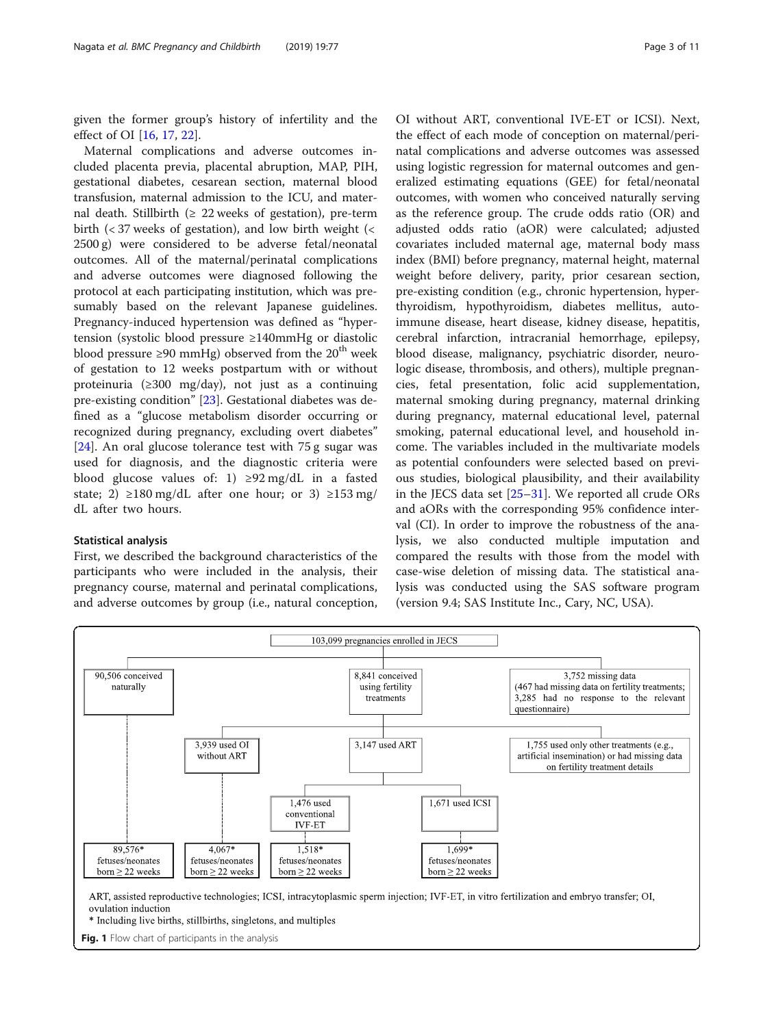<span id="page-2-0"></span>given the former group's history of infertility and the effect of OI [[16,](#page-9-0) [17,](#page-9-0) [22](#page-10-0)].

Maternal complications and adverse outcomes included placenta previa, placental abruption, MAP, PIH, gestational diabetes, cesarean section, maternal blood transfusion, maternal admission to the ICU, and maternal death. Stillbirth  $(≥ 22$  weeks of gestation), pre-term birth  $\left($  < 37 weeks of gestation), and low birth weight  $\left($  < 2500 g) were considered to be adverse fetal/neonatal outcomes. All of the maternal/perinatal complications and adverse outcomes were diagnosed following the protocol at each participating institution, which was presumably based on the relevant Japanese guidelines. Pregnancy-induced hypertension was defined as "hypertension (systolic blood pressure ≥140mmHg or diastolic blood pressure ≥90 mmHg) observed from the 20<sup>th</sup> week of gestation to 12 weeks postpartum with or without proteinuria (≥300 mg/day), not just as a continuing pre-existing condition" [\[23](#page-10-0)]. Gestational diabetes was defined as a "glucose metabolism disorder occurring or recognized during pregnancy, excluding overt diabetes" [[24\]](#page-10-0). An oral glucose tolerance test with 75 g sugar was used for diagnosis, and the diagnostic criteria were blood glucose values of: 1)  $\geq$ 92 mg/dL in a fasted state; 2)  $\geq$ 180 mg/dL after one hour; or 3)  $\geq$ 153 mg/ dL after two hours.

## Statistical analysis

First, we described the background characteristics of the participants who were included in the analysis, their pregnancy course, maternal and perinatal complications, and adverse outcomes by group (i.e., natural conception,

OI without ART, conventional IVE-ET or ICSI). Next, the effect of each mode of conception on maternal/perinatal complications and adverse outcomes was assessed using logistic regression for maternal outcomes and generalized estimating equations (GEE) for fetal/neonatal outcomes, with women who conceived naturally serving as the reference group. The crude odds ratio (OR) and adjusted odds ratio (aOR) were calculated; adjusted covariates included maternal age, maternal body mass index (BMI) before pregnancy, maternal height, maternal weight before delivery, parity, prior cesarean section, pre-existing condition (e.g., chronic hypertension, hyperthyroidism, hypothyroidism, diabetes mellitus, autoimmune disease, heart disease, kidney disease, hepatitis, cerebral infarction, intracranial hemorrhage, epilepsy, blood disease, malignancy, psychiatric disorder, neurologic disease, thrombosis, and others), multiple pregnancies, fetal presentation, folic acid supplementation, maternal smoking during pregnancy, maternal drinking during pregnancy, maternal educational level, paternal smoking, paternal educational level, and household income. The variables included in the multivariate models as potential confounders were selected based on previous studies, biological plausibility, and their availability in the JECS data set [[25](#page-10-0)–[31\]](#page-10-0). We reported all crude ORs and aORs with the corresponding 95% confidence interval (CI). In order to improve the robustness of the analysis, we also conducted multiple imputation and compared the results with those from the model with case-wise deletion of missing data. The statistical analysis was conducted using the SAS software program (version 9.4; SAS Institute Inc., Cary, NC, USA).



\* Including live births, stillbirths, singletons, and multiples

Fig. 1 Flow chart of participants in the analysis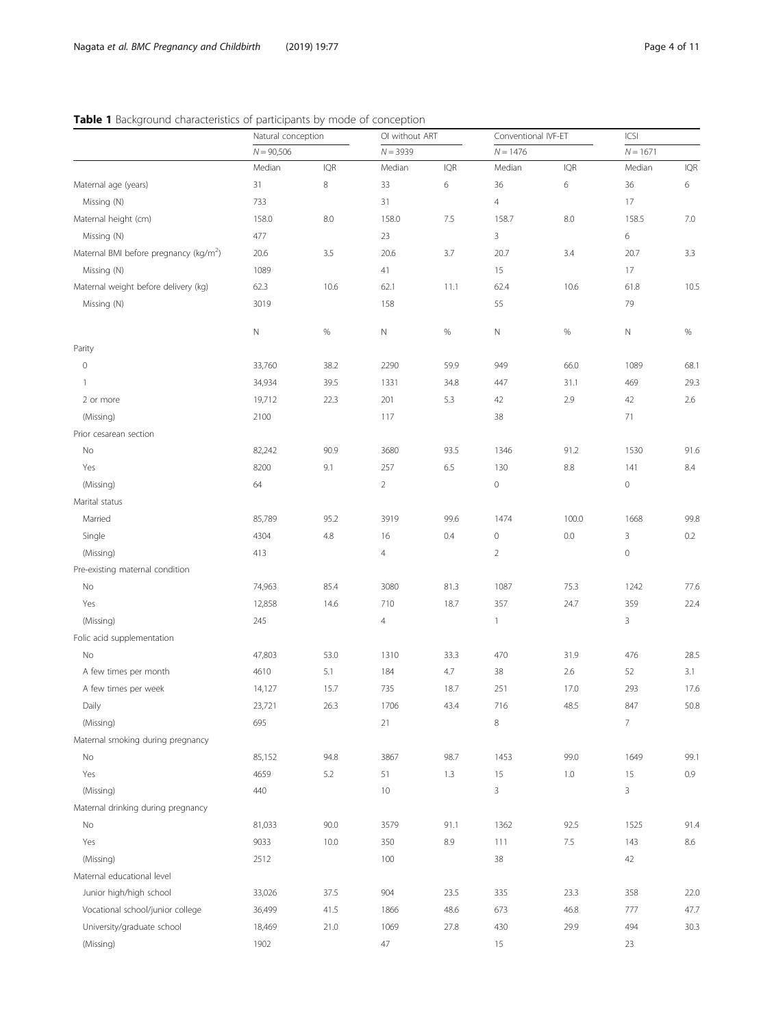# <span id="page-3-0"></span>Table 1 Background characteristics of participants by mode of conception

|                                                    | Natural conception |            | OI without ART |            | Conventional IVF-ET |            | ICSI                |            |
|----------------------------------------------------|--------------------|------------|----------------|------------|---------------------|------------|---------------------|------------|
|                                                    | $N = 90,506$       |            | $N = 3939$     |            | $N = 1476$          |            | $N = 1671$          |            |
|                                                    | Median             | <b>IQR</b> | Median         | <b>IQR</b> | Median              | <b>IQR</b> | Median              | <b>IQR</b> |
| Maternal age (years)                               | 31                 | $\,8\,$    | 33             | 6          | 36                  | 6          | 36                  | 6          |
| Missing (N)                                        | 733                |            | 31             |            | $\overline{4}$      |            | 17                  |            |
| Maternal height (cm)                               | 158.0              | 8.0        | 158.0          | 7.5        | 158.7               | 8.0        | 158.5               | 7.0        |
| Missing (N)                                        | 477                |            | 23             |            | 3                   |            | 6                   |            |
| Maternal BMI before pregnancy (kg/m <sup>2</sup> ) | 20.6               | 3.5        | 20.6           | 3.7        | 20.7                | 3.4        | 20.7                | 3.3        |
| Missing (N)                                        | 1089               |            | 41             |            | 15                  |            | 17                  |            |
| Maternal weight before delivery (kg)               | 62.3               | 10.6       | 62.1           | 11.1       | 62.4                | 10.6       | 61.8                | 10.5       |
| Missing (N)                                        | 3019               |            | 158            |            | 55                  |            | 79                  |            |
|                                                    |                    |            |                |            |                     |            |                     |            |
|                                                    | Ν                  | $\%$       | $\hbox{N}$     | $\%$       | N                   | $\%$       | $\mathsf{N}\xspace$ | $\%$       |
| Parity                                             |                    |            |                |            |                     |            |                     |            |
| $\mathbf 0$                                        | 33,760             | 38.2       | 2290           | 59.9       | 949                 | 66.0       | 1089                | 68.1       |
| $\overline{1}$                                     | 34,934             | 39.5       | 1331           | 34.8       | 447                 | 31.1       | 469                 | 29.3       |
| 2 or more                                          | 19,712             | 22.3       | 201            | 5.3        | 42                  | 2.9        | 42                  | 2.6        |
| (Missing)                                          | 2100               |            | 117            |            | 38                  |            | 71                  |            |
| Prior cesarean section                             |                    |            |                |            |                     |            |                     |            |
| No                                                 | 82,242             | 90.9       | 3680           | 93.5       | 1346                | 91.2       | 1530                | 91.6       |
| Yes                                                | 8200               | 9.1        | 257            | 6.5        | 130                 | $8.8\,$    | 141                 | 8.4        |
| (Missing)                                          | 64                 |            | $\overline{2}$ |            | $\mathbb O$         |            | $\mathcal O$        |            |
| Marital status                                     |                    |            |                |            |                     |            |                     |            |
| Married                                            | 85,789             | 95.2       | 3919           | 99.6       | 1474                | 100.0      | 1668                | 99.8       |
| Single                                             | 4304               | 4.8        | 16             | 0.4        | $\mathbb O$         | 0.0        | 3                   | 0.2        |
| (Missing)                                          | 413                |            | $\overline{4}$ |            | $\overline{2}$      |            | $\mathbb O$         |            |
| Pre-existing maternal condition                    |                    |            |                |            |                     |            |                     |            |
| No                                                 | 74,963             | 85.4       | 3080           | 81.3       | 1087                | 75.3       | 1242                | 77.6       |
| Yes                                                | 12,858             | 14.6       | 710            | 18.7       | 357                 | 24.7       | 359                 | 22.4       |
| (Missing)                                          | 245                |            | 4              |            | $\mathbf{1}$        |            | 3                   |            |
| Folic acid supplementation                         |                    |            |                |            |                     |            |                     |            |
| No                                                 | 47,803             | 53.0       | 1310           | 33.3       | 470                 | 31.9       | 476                 | 28.5       |
| A few times per month                              | 4610               | 5.1        | 184            | 4.7        | 38                  | 2.6        | 52                  | 3.1        |
| A few times per week                               | 14,127             | 15.7       | 735            | 18.7       | 251                 | 17.0       | 293                 | 17.6       |
| Daily                                              | 23,721             | 26.3       | 1706           | 43.4       | 716                 | 48.5       | 847                 | 50.8       |
| (Missing)                                          | 695                |            | 21             |            | $\,8\,$             |            | $\overline{7}$      |            |
| Maternal smoking during pregnancy                  |                    |            |                |            |                     |            |                     |            |
| No                                                 | 85,152             | 94.8       | 3867           | 98.7       | 1453                | 99.0       | 1649                | 99.1       |
| Yes                                                | 4659               | 5.2        | 51             | 1.3        | 15                  | $1.0\,$    | 15                  | $0.9\,$    |
| (Missing)                                          | 440                |            | 10             |            | 3                   |            | 3                   |            |
| Maternal drinking during pregnancy                 |                    |            |                |            |                     |            |                     |            |
| No                                                 | 81,033             | 90.0       | 3579           | 91.1       | 1362                | 92.5       | 1525                | 91.4       |
| Yes                                                | 9033               | 10.0       | 350            | 8.9        | 111                 | 7.5        | 143                 | 8.6        |
| (Missing)                                          | 2512               |            | 100            |            | 38                  |            | 42                  |            |
| Maternal educational level                         |                    |            |                |            |                     |            |                     |            |
| Junior high/high school                            | 33,026             | 37.5       | 904            | 23.5       | 335                 | 23.3       | 358                 | 22.0       |
| Vocational school/junior college                   | 36,499             | 41.5       | 1866           | 48.6       | 673                 | 46.8       | 777                 | 47.7       |
| University/graduate school                         | 18,469             | 21.0       | 1069           | 27.8       | 430                 | 29.9       | 494                 | 30.3       |
| (Missing)                                          | 1902               |            | 47             |            | 15                  |            | 23                  |            |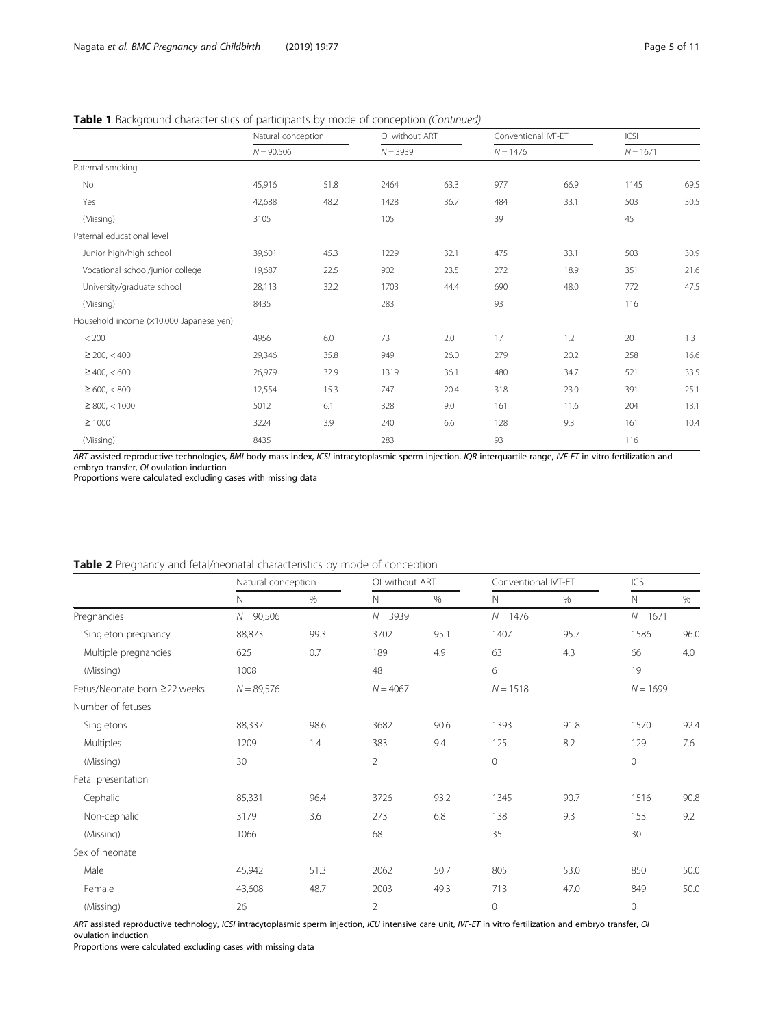## <span id="page-4-0"></span>Table 1 Background characteristics of participants by mode of conception (Continued)

|                                         | Natural conception |      |            | OI without ART |            | Conventional IVF-ET |            | ICSI |  |
|-----------------------------------------|--------------------|------|------------|----------------|------------|---------------------|------------|------|--|
|                                         | $N = 90,506$       |      | $N = 3939$ |                | $N = 1476$ |                     | $N = 1671$ |      |  |
| Paternal smoking                        |                    |      |            |                |            |                     |            |      |  |
| No                                      | 45,916             | 51.8 | 2464       | 63.3           | 977        | 66.9                | 1145       | 69.5 |  |
| Yes                                     | 42,688             | 48.2 | 1428       | 36.7           | 484        | 33.1                | 503        | 30.5 |  |
| (Missing)                               | 3105               |      | 105        |                | 39         |                     | 45         |      |  |
| Paternal educational level              |                    |      |            |                |            |                     |            |      |  |
| Junior high/high school                 | 39,601             | 45.3 | 1229       | 32.1           | 475        | 33.1                | 503        | 30.9 |  |
| Vocational school/junior college        | 19,687             | 22.5 | 902        | 23.5           | 272        | 18.9                | 351        | 21.6 |  |
| University/graduate school              | 28,113             | 32.2 | 1703       | 44.4           | 690        | 48.0                | 772        | 47.5 |  |
| (Missing)                               | 8435               |      | 283        |                | 93         |                     | 116        |      |  |
| Household income (x10,000 Japanese yen) |                    |      |            |                |            |                     |            |      |  |
| < 200                                   | 4956               | 6.0  | 73         | 2.0            | 17         | 1.2                 | 20         | 1.3  |  |
| $\geq$ 200, < 400                       | 29,346             | 35.8 | 949        | 26.0           | 279        | 20.2                | 258        | 16.6 |  |
| $\geq$ 400, < 600                       | 26,979             | 32.9 | 1319       | 36.1           | 480        | 34.7                | 521        | 33.5 |  |
| $\geq 600, < 800$                       | 12,554             | 15.3 | 747        | 20.4           | 318        | 23.0                | 391        | 25.1 |  |
| $\geq$ 800, < 1000                      | 5012               | 6.1  | 328        | 9.0            | 161        | 11.6                | 204        | 13.1 |  |
| $\geq 1000$                             | 3224               | 3.9  | 240        | 6.6            | 128        | 9.3                 | 161        | 10.4 |  |
| (Missing)                               | 8435               |      | 283        |                | 93         |                     | 116        |      |  |

ART assisted reproductive technologies, BMI body mass index, ICSI intracytoplasmic sperm injection. IQR interquartile range, IVF-ET in vitro fertilization and embryo transfer, OI ovulation induction

Proportions were calculated excluding cases with missing data

## Table 2 Pregnancy and fetal/neonatal characteristics by mode of conception

|                              | Natural conception |      |                | OI without ART |              | Conventional IVT-ET |              | ICSI |  |
|------------------------------|--------------------|------|----------------|----------------|--------------|---------------------|--------------|------|--|
|                              | N                  | $\%$ | $\mathbb N$    | $\%$           | $\mathsf{N}$ | %                   | $\mathsf{N}$ | %    |  |
| Pregnancies                  | $N = 90,506$       |      | $N = 3939$     |                | $N = 1476$   |                     | $N = 1671$   |      |  |
| Singleton pregnancy          | 88,873             | 99.3 | 3702           | 95.1           | 1407         | 95.7                | 1586         | 96.0 |  |
| Multiple pregnancies         | 625                | 0.7  | 189            | 4.9            | 63           | 4.3                 | 66           | 4.0  |  |
| (Missing)                    | 1008               |      | 48             |                | 6            |                     | 19           |      |  |
| Fetus/Neonate born ≥22 weeks | $N = 89,576$       |      | $N = 4067$     |                | $N = 1518$   |                     | $N = 1699$   |      |  |
| Number of fetuses            |                    |      |                |                |              |                     |              |      |  |
| Singletons                   | 88,337             | 98.6 | 3682           | 90.6           | 1393         | 91.8                | 1570         | 92.4 |  |
| <b>Multiples</b>             | 1209               | 1.4  | 383            | 9.4            | 125          | 8.2                 | 129          | 7.6  |  |
| (Missing)                    | 30                 |      | $\overline{2}$ |                | $\mathbf 0$  |                     | $\circ$      |      |  |
| Fetal presentation           |                    |      |                |                |              |                     |              |      |  |
| Cephalic                     | 85,331             | 96.4 | 3726           | 93.2           | 1345         | 90.7                | 1516         | 90.8 |  |
| Non-cephalic                 | 3179               | 3.6  | 273            | 6.8            | 138          | 9.3                 | 153          | 9.2  |  |
| (Missing)                    | 1066               |      | 68             |                | 35           |                     | 30           |      |  |
| Sex of neonate               |                    |      |                |                |              |                     |              |      |  |
| Male                         | 45,942             | 51.3 | 2062           | 50.7           | 805          | 53.0                | 850          | 50.0 |  |
| Female                       | 43,608             | 48.7 | 2003           | 49.3           | 713          | 47.0                | 849          | 50.0 |  |
| (Missing)                    | 26                 |      | $\overline{2}$ |                | $\mathbf 0$  |                     | $\mathbf 0$  |      |  |

ART assisted reproductive technology, ICSI intracytoplasmic sperm injection, ICU intensive care unit, IVF-ET in vitro fertilization and embryo transfer, OI ovulation induction

Proportions were calculated excluding cases with missing data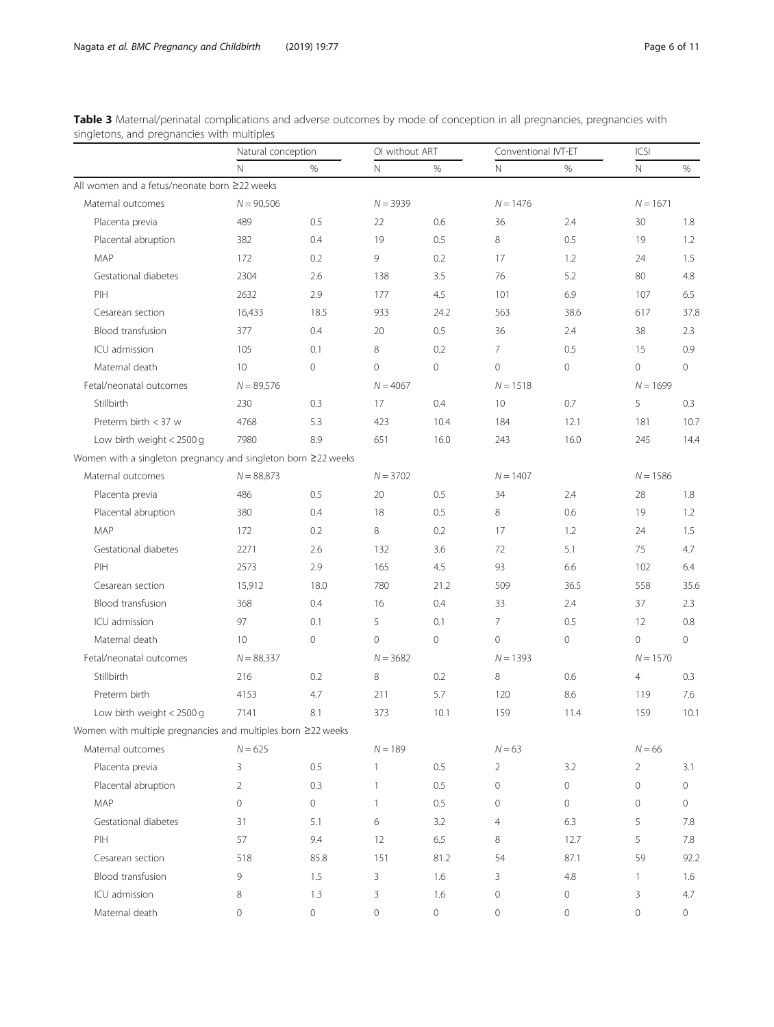<span id="page-5-0"></span>

| Table 3 Maternal/perinatal complications and adverse outcomes by mode of conception in all pregnancies, pregnancies with |  |  |  |
|--------------------------------------------------------------------------------------------------------------------------|--|--|--|
| singletons, and pregnancies with multiples                                                                               |  |  |  |

|                                                               | Natural conception  |                     |                     | OI without ART      |                | Conventional IVT-ET |                | ICSI       |  |
|---------------------------------------------------------------|---------------------|---------------------|---------------------|---------------------|----------------|---------------------|----------------|------------|--|
|                                                               | $\mathsf{N}$        | %                   | $\mathbb N$         | $\%$                | N              | $\%$                | $\mathsf{N}$   | %          |  |
| All women and a fetus/neonate born ≥22 weeks                  |                     |                     |                     |                     |                |                     |                |            |  |
| Maternal outcomes                                             | $N = 90,506$        |                     | $N = 3939$          |                     | $N = 1476$     |                     | $N = 1671$     |            |  |
| Placenta previa                                               | 489                 | 0.5                 | 22                  | 0.6                 | 36             | 2.4                 | 30             | 1.8        |  |
| Placental abruption                                           | 382                 | 0.4                 | 19                  | 0.5                 | 8              | 0.5                 | 19             | 1.2        |  |
| <b>MAP</b>                                                    | 172                 | 0.2                 | 9                   | 0.2                 | 17             | 1.2                 | 24             | 1.5        |  |
| Gestational diabetes                                          | 2304                | 2.6                 | 138                 | 3.5                 | 76             | 5.2                 | 80             | 4.8        |  |
| PIH                                                           | 2632                | 2.9                 | 177                 | 4.5                 | 101            | 6.9                 | 107            | 6.5        |  |
| Cesarean section                                              | 16,433              | 18.5                | 933                 | 24.2                | 563            | 38.6                | 617            | 37.8       |  |
| Blood transfusion                                             | 377                 | 0.4                 | 20                  | 0.5                 | 36             | 2.4                 | 38             | 2.3        |  |
| ICU admission                                                 | 105                 | 0.1                 | 8                   | 0.2                 | $\overline{7}$ | 0.5                 | 15             | 0.9        |  |
| Maternal death                                                | 10                  | $\mathbf 0$         | $\circ$             | $\mathsf{O}\xspace$ | 0              | $\circ$             | $\circ$        | $\circ$    |  |
| Fetal/neonatal outcomes                                       | $N = 89,576$        |                     | $N = 4067$          |                     | $N = 1518$     |                     | $N = 1699$     |            |  |
| Stillbirth                                                    | 230                 | 0.3                 | 17                  | 0.4                 | 10             | 0.7                 | 5              | 0.3        |  |
| Preterm birth $<$ 37 w                                        | 4768                | 5.3                 | 423                 | 10.4                | 184            | 12.1                | 181            | 10.7       |  |
| Low birth weight $<$ 2500 g                                   | 7980                | 8.9                 | 651                 | 16.0                | 243            | 16.0                | 245            | 14.4       |  |
| Women with a singleton pregnancy and singleton born ≥22 weeks |                     |                     |                     |                     |                |                     |                |            |  |
| Maternal outcomes                                             | $N = 88,873$        |                     |                     | $N = 3702$          |                | $N = 1407$          |                | $N = 1586$ |  |
| Placenta previa                                               | 486                 | 0.5                 | 20                  | 0.5                 | 34             | 2.4                 | 28             | 1.8        |  |
| Placental abruption                                           | 380                 | 0.4                 | 18                  | 0.5                 | 8              | 0.6                 | 19             | 1.2        |  |
| MAP                                                           | 172                 | 0.2                 | 8                   | 0.2                 | 17             | 1.2                 | 24             | 1.5        |  |
| Gestational diabetes                                          | 2271                | 2.6                 | 132                 | 3.6                 | 72             | 5.1                 | 75             | 4.7        |  |
| PIH                                                           | 2573                | 2.9                 | 165                 | 4.5                 | 93             | 6.6                 | 102            | 6.4        |  |
| Cesarean section                                              | 15,912              | 18.0                | 780                 | 21.2                | 509            | 36.5                | 558            | 35.6       |  |
| Blood transfusion                                             | 368                 | 0.4                 | 16                  | 0.4                 | 33             | 2.4                 | 37             | 2.3        |  |
| ICU admission                                                 | 97                  | 0.1                 | 5                   | 0.1                 | $\overline{7}$ | 0.5                 | 12             | 0.8        |  |
| Maternal death                                                | 10                  | $\mathsf{O}\xspace$ | $\circ$             | $\mathsf{O}\xspace$ | 0              | 0                   | $\circ$        | 0          |  |
| Fetal/neonatal outcomes                                       | $N = 88,337$        |                     | $N = 3682$          |                     | $N = 1393$     |                     | $N = 1570$     |            |  |
| Stillbirth                                                    | 216                 | 0.2                 | 8                   | 0.2                 | 8              | 0.6                 | $\overline{4}$ | 0.3        |  |
| Preterm birth                                                 | 4153                | 4.7                 | 211                 | 5.7                 | 120            | 8.6                 | 119            | 7.6        |  |
| Low birth weight $<$ 2500 g                                   | 7141                | 8.1                 | 373                 | 10.1                | 159            | 11.4                | 159            | 10.1       |  |
| Women with multiple pregnancies and multiples born ≥22 weeks  |                     |                     |                     |                     |                |                     |                |            |  |
| Maternal outcomes                                             | $N = 625$           |                     | $N = 189$           |                     | $N = 63$       |                     | $N = 66$       |            |  |
| Placenta previa                                               | 3                   | 0.5                 | 1                   | 0.5                 | 2              | 3.2                 | $\overline{2}$ | 3.1        |  |
| Placental abruption                                           | $\overline{2}$      | 0.3                 | $\mathbf{1}$        | 0.5                 | 0              | 0                   | $\mathbf 0$    | $\circ$    |  |
| MAP                                                           | $\circ$             | $\circ$             | $\mathbf{1}$        | 0.5                 | 0              | 0                   | $\circ$        | 0          |  |
| Gestational diabetes                                          | 31                  | 5.1                 | 6                   | 3.2                 | 4              | 6.3                 | 5              | 7.8        |  |
| PIH                                                           | 57                  | 9.4                 | 12                  | 6.5                 | 8              | 12.7                | 5              | 7.8        |  |
| Cesarean section                                              | 518                 | 85.8                | 151                 | 81.2                | 54             | 87.1                | 59             | 92.2       |  |
| Blood transfusion                                             | 9                   | 1.5                 | 3                   | 1.6                 | 3              | 4.8                 | $\mathbf{1}$   | 1.6        |  |
| ICU admission                                                 | 8                   | 1.3                 | 3                   | 1.6                 | 0              | 0                   | 3              | 4.7        |  |
| Maternal death                                                | $\mathsf{O}\xspace$ | 0                   | $\mathsf{O}\xspace$ | 0                   | 0              | $\circ$             | 0              | 0          |  |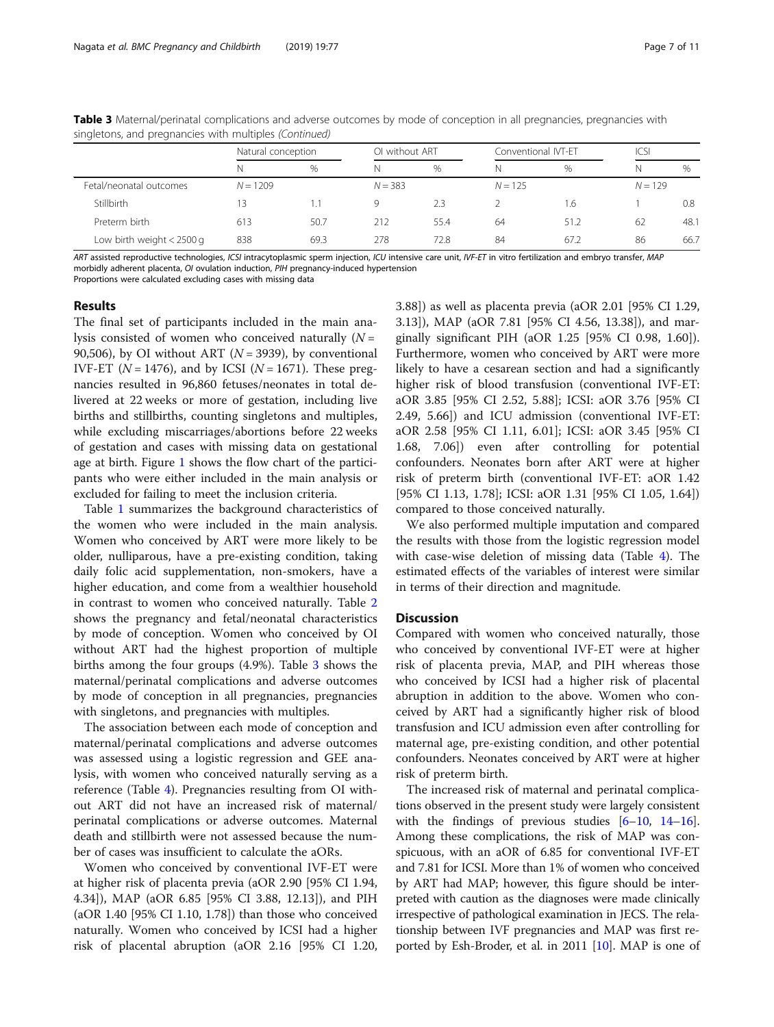| strigierons, and pregnancies with mumples (committed) |                    |               |                |      |                     |           |      |           |  |
|-------------------------------------------------------|--------------------|---------------|----------------|------|---------------------|-----------|------|-----------|--|
|                                                       | Natural conception |               | OI without ART |      | Conventional IVT-ET |           | icsi |           |  |
|                                                       | N.                 | $\frac{0}{0}$ | N              | $\%$ | N                   | $\%$      | N    | $\%$      |  |
| Fetal/neonatal outcomes                               | $N = 1209$         |               | $N = 383$      |      |                     | $N = 125$ |      | $N = 129$ |  |
| Stillbirth                                            | 3                  |               | Q              | 2.3  |                     | - 6       |      | 0.8       |  |
| Preterm birth                                         | 613                | 50.7          | 212            | 55.4 | 64                  | 51.2      | 62   | 48.1      |  |
| Low birth weight $<$ 2500 g                           | 838                | 69.3          | 278            | 72.8 | 84                  | 67.2      | 86   | 66.7      |  |

Table 3 Maternal/perinatal complications and adverse outcomes by mode of conception in all pregnancies, pregnancies with singletons, and pregnancies with multiples (Continued)

ART assisted reproductive technologies, ICSI intracytoplasmic sperm injection, ICU intensive care unit, IVF-ET in vitro fertilization and embryo transfer, MAP morbidly adherent placenta, OI ovulation induction, PIH pregnancy-induced hypertension

Proportions were calculated excluding cases with missing data

### Results

The final set of participants included in the main analysis consisted of women who conceived naturally  $(N =$ 90,506), by OI without ART ( $N = 3939$ ), by conventional IVF-ET ( $N = 1476$ ), and by ICSI ( $N = 1671$ ). These pregnancies resulted in 96,860 fetuses/neonates in total delivered at 22 weeks or more of gestation, including live births and stillbirths, counting singletons and multiples, while excluding miscarriages/abortions before 22 weeks of gestation and cases with missing data on gestational age at birth. Figure [1](#page-2-0) shows the flow chart of the participants who were either included in the main analysis or excluded for failing to meet the inclusion criteria.

Table [1](#page-3-0) summarizes the background characteristics of the women who were included in the main analysis. Women who conceived by ART were more likely to be older, nulliparous, have a pre-existing condition, taking daily folic acid supplementation, non-smokers, have a higher education, and come from a wealthier household in contrast to women who conceived naturally. Table [2](#page-4-0) shows the pregnancy and fetal/neonatal characteristics by mode of conception. Women who conceived by OI without ART had the highest proportion of multiple births among the four groups (4.9%). Table [3](#page-5-0) shows the maternal/perinatal complications and adverse outcomes by mode of conception in all pregnancies, pregnancies with singletons, and pregnancies with multiples.

The association between each mode of conception and maternal/perinatal complications and adverse outcomes was assessed using a logistic regression and GEE analysis, with women who conceived naturally serving as a reference (Table [4](#page-7-0)). Pregnancies resulting from OI without ART did not have an increased risk of maternal/ perinatal complications or adverse outcomes. Maternal death and stillbirth were not assessed because the number of cases was insufficient to calculate the aORs.

Women who conceived by conventional IVF-ET were at higher risk of placenta previa (aOR 2.90 [95% CI 1.94, 4.34]), MAP (aOR 6.85 [95% CI 3.88, 12.13]), and PIH (aOR 1.40 [95% CI 1.10, 1.78]) than those who conceived naturally. Women who conceived by ICSI had a higher risk of placental abruption (aOR 2.16 [95% CI 1.20, 3.88]) as well as placenta previa (aOR 2.01 [95% CI 1.29, 3.13]), MAP (aOR 7.81 [95% CI 4.56, 13.38]), and marginally significant PIH (aOR 1.25 [95% CI 0.98, 1.60]). Furthermore, women who conceived by ART were more likely to have a cesarean section and had a significantly higher risk of blood transfusion (conventional IVF-ET: aOR 3.85 [95% CI 2.52, 5.88]; ICSI: aOR 3.76 [95% CI 2.49, 5.66]) and ICU admission (conventional IVF-ET: aOR 2.58 [95% CI 1.11, 6.01]; ICSI: aOR 3.45 [95% CI 1.68, 7.06]) even after controlling for potential confounders. Neonates born after ART were at higher risk of preterm birth (conventional IVF-ET: aOR 1.42 [95% CI 1.13, 1.78]; ICSI: aOR 1.31 [95% CI 1.05, 1.64]) compared to those conceived naturally.

We also performed multiple imputation and compared the results with those from the logistic regression model with case-wise deletion of missing data (Table [4](#page-7-0)). The estimated effects of the variables of interest were similar in terms of their direction and magnitude.

## **Discussion**

Compared with women who conceived naturally, those who conceived by conventional IVF-ET were at higher risk of placenta previa, MAP, and PIH whereas those who conceived by ICSI had a higher risk of placental abruption in addition to the above. Women who conceived by ART had a significantly higher risk of blood transfusion and ICU admission even after controlling for maternal age, pre-existing condition, and other potential confounders. Neonates conceived by ART were at higher risk of preterm birth.

The increased risk of maternal and perinatal complications observed in the present study were largely consistent with the findings of previous studies  $[6-10, 14-16]$  $[6-10, 14-16]$  $[6-10, 14-16]$  $[6-10, 14-16]$  $[6-10, 14-16]$  $[6-10, 14-16]$  $[6-10, 14-16]$  $[6-10, 14-16]$ . Among these complications, the risk of MAP was conspicuous, with an aOR of 6.85 for conventional IVF-ET and 7.81 for ICSI. More than 1% of women who conceived by ART had MAP; however, this figure should be interpreted with caution as the diagnoses were made clinically irrespective of pathological examination in JECS. The relationship between IVF pregnancies and MAP was first reported by Esh-Broder, et al. in 2011 [[10\]](#page-9-0). MAP is one of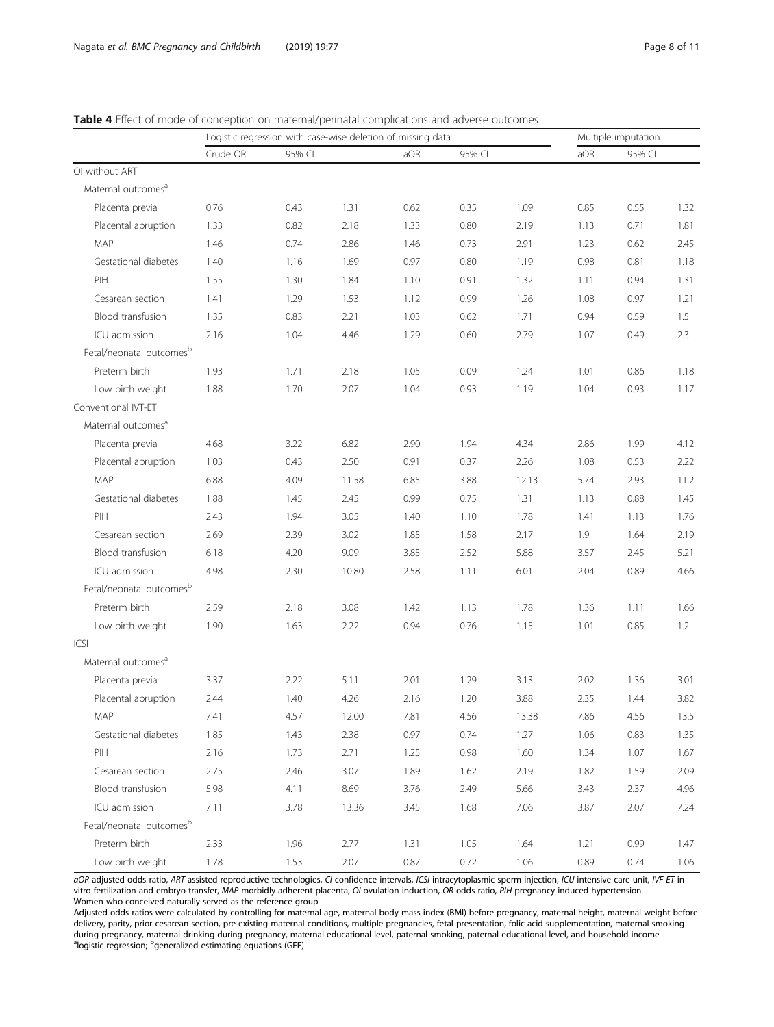## <span id="page-7-0"></span>Table 4 Effect of mode of conception on maternal/perinatal complications and adverse outcomes

|                                      |          | Logistic regression with case-wise deletion of missing data |       |      |        |       | Multiple imputation |        |      |
|--------------------------------------|----------|-------------------------------------------------------------|-------|------|--------|-------|---------------------|--------|------|
|                                      | Crude OR | 95% CI                                                      |       | aOR  | 95% CI |       | aOR                 | 95% CI |      |
| OI without ART                       |          |                                                             |       |      |        |       |                     |        |      |
| Maternal outcomes <sup>a</sup>       |          |                                                             |       |      |        |       |                     |        |      |
| Placenta previa                      | 0.76     | 0.43                                                        | 1.31  | 0.62 | 0.35   | 1.09  | 0.85                | 0.55   | 1.32 |
| Placental abruption                  | 1.33     | 0.82                                                        | 2.18  | 1.33 | 0.80   | 2.19  | 1.13                | 0.71   | 1.81 |
| MAP                                  | 1.46     | 0.74                                                        | 2.86  | 1.46 | 0.73   | 2.91  | 1.23                | 0.62   | 2.45 |
| Gestational diabetes                 | 1.40     | 1.16                                                        | 1.69  | 0.97 | 0.80   | 1.19  | 0.98                | 0.81   | 1.18 |
| PIH                                  | 1.55     | 1.30                                                        | 1.84  | 1.10 | 0.91   | 1.32  | 1.11                | 0.94   | 1.31 |
| Cesarean section                     | 1.41     | 1.29                                                        | 1.53  | 1.12 | 0.99   | 1.26  | 1.08                | 0.97   | 1.21 |
| Blood transfusion                    | 1.35     | 0.83                                                        | 2.21  | 1.03 | 0.62   | 1.71  | 0.94                | 0.59   | 1.5  |
| ICU admission                        | 2.16     | 1.04                                                        | 4.46  | 1.29 | 0.60   | 2.79  | 1.07                | 0.49   | 2.3  |
| Fetal/neonatal outcomes <sup>b</sup> |          |                                                             |       |      |        |       |                     |        |      |
| Preterm birth                        | 1.93     | 1.71                                                        | 2.18  | 1.05 | 0.09   | 1.24  | 1.01                | 0.86   | 1.18 |
| Low birth weight                     | 1.88     | 1.70                                                        | 2.07  | 1.04 | 0.93   | 1.19  | 1.04                | 0.93   | 1.17 |
| Conventional IVT-ET                  |          |                                                             |       |      |        |       |                     |        |      |
| Maternal outcomes <sup>a</sup>       |          |                                                             |       |      |        |       |                     |        |      |
| Placenta previa                      | 4.68     | 3.22                                                        | 6.82  | 2.90 | 1.94   | 4.34  | 2.86                | 1.99   | 4.12 |
| Placental abruption                  | 1.03     | 0.43                                                        | 2.50  | 0.91 | 0.37   | 2.26  | 1.08                | 0.53   | 2.22 |
| MAP                                  | 6.88     | 4.09                                                        | 11.58 | 6.85 | 3.88   | 12.13 | 5.74                | 2.93   | 11.2 |
| Gestational diabetes                 | 1.88     | 1.45                                                        | 2.45  | 0.99 | 0.75   | 1.31  | 1.13                | 0.88   | 1.45 |
| PIH                                  | 2.43     | 1.94                                                        | 3.05  | 1.40 | 1.10   | 1.78  | 1.41                | 1.13   | 1.76 |
| Cesarean section                     | 2.69     | 2.39                                                        | 3.02  | 1.85 | 1.58   | 2.17  | 1.9                 | 1.64   | 2.19 |
| Blood transfusion                    | 6.18     | 4.20                                                        | 9.09  | 3.85 | 2.52   | 5.88  | 3.57                | 2.45   | 5.21 |
| ICU admission                        | 4.98     | 2.30                                                        | 10.80 | 2.58 | 1.11   | 6.01  | 2.04                | 0.89   | 4.66 |
| Fetal/neonatal outcomes <sup>b</sup> |          |                                                             |       |      |        |       |                     |        |      |
| Preterm birth                        | 2.59     | 2.18                                                        | 3.08  | 1.42 | 1.13   | 1.78  | 1.36                | 1.11   | 1.66 |
| Low birth weight                     | 1.90     | 1.63                                                        | 2.22  | 0.94 | 0.76   | 1.15  | 1.01                | 0.85   | 1.2  |
| ICSI                                 |          |                                                             |       |      |        |       |                     |        |      |
| Maternal outcomes <sup>a</sup>       |          |                                                             |       |      |        |       |                     |        |      |
| Placenta previa                      | 3.37     | 2.22                                                        | 5.11  | 2.01 | 1.29   | 3.13  | 2.02                | 1.36   | 3.01 |
| Placental abruption                  | 2.44     | 1.40                                                        | 4.26  | 2.16 | 1.20   | 3.88  | 2.35                | 1.44   | 3.82 |
| MAP                                  | 7.41     | 4.57                                                        | 12.00 | 7.81 | 4.56   | 13.38 | 7.86                | 4.56   | 13.5 |
| Gestational diabetes                 | 1.85     | 1.43                                                        | 2.38  | 0.97 | 0.74   | 1.27  | 1.06                | 0.83   | 1.35 |
| PIH                                  | 2.16     | 1.73                                                        | 2.71  | 1.25 | 0.98   | 1.60  | 1.34                | 1.07   | 1.67 |
| Cesarean section                     | 2.75     | 2.46                                                        | 3.07  | 1.89 | 1.62   | 2.19  | 1.82                | 1.59   | 2.09 |
| Blood transfusion                    | 5.98     | 4.11                                                        | 8.69  | 3.76 | 2.49   | 5.66  | 3.43                | 2.37   | 4.96 |
| ICU admission                        | 7.11     | 3.78                                                        | 13.36 | 3.45 | 1.68   | 7.06  | 3.87                | 2.07   | 7.24 |
| Fetal/neonatal outcomes <sup>b</sup> |          |                                                             |       |      |        |       |                     |        |      |
| Preterm birth                        | 2.33     | 1.96                                                        | 2.77  | 1.31 | 1.05   | 1.64  | 1.21                | 0.99   | 1.47 |
| Low birth weight                     | 1.78     | 1.53                                                        | 2.07  | 0.87 | 0.72   | 1.06  | 0.89                | 0.74   | 1.06 |

aOR adjusted odds ratio, ART assisted reproductive technologies, CI confidence intervals, ICSI intracytoplasmic sperm injection, ICU intensive care unit, IVF-ET in vitro fertilization and embryo transfer, MAP morbidly adherent placenta, OI ovulation induction, OR odds ratio, PIH pregnancy-induced hypertension Women who conceived naturally served as the reference group

Adjusted odds ratios were calculated by controlling for maternal age, maternal body mass index (BMI) before pregnancy, maternal height, maternal weight before delivery, parity, prior cesarean section, pre-existing maternal conditions, multiple pregnancies, fetal presentation, folic acid supplementation, maternal smoking during pregnancy, maternal drinking during pregnancy, maternal educational level, paternal smoking, paternal educational level, and household income <sup>a</sup> logistic regression; <sup>b</sup>generalized estimating equations (GEE)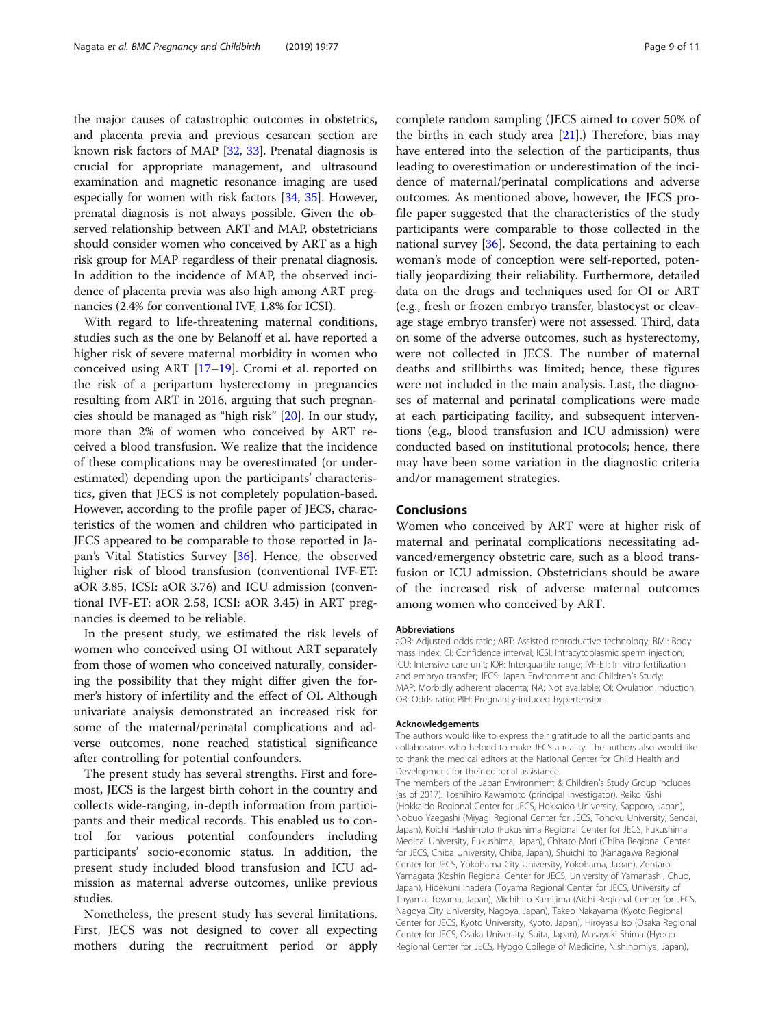the major causes of catastrophic outcomes in obstetrics, and placenta previa and previous cesarean section are known risk factors of MAP [[32](#page-10-0), [33](#page-10-0)]. Prenatal diagnosis is crucial for appropriate management, and ultrasound examination and magnetic resonance imaging are used especially for women with risk factors [\[34,](#page-10-0) [35](#page-10-0)]. However, prenatal diagnosis is not always possible. Given the observed relationship between ART and MAP, obstetricians should consider women who conceived by ART as a high risk group for MAP regardless of their prenatal diagnosis. In addition to the incidence of MAP, the observed incidence of placenta previa was also high among ART pregnancies (2.4% for conventional IVF, 1.8% for ICSI).

With regard to life-threatening maternal conditions, studies such as the one by Belanoff et al. have reported a higher risk of severe maternal morbidity in women who conceived using ART [[17](#page-9-0)–[19](#page-9-0)]. Cromi et al. reported on the risk of a peripartum hysterectomy in pregnancies resulting from ART in 2016, arguing that such pregnancies should be managed as "high risk" [\[20\]](#page-10-0). In our study, more than 2% of women who conceived by ART received a blood transfusion. We realize that the incidence of these complications may be overestimated (or underestimated) depending upon the participants' characteristics, given that JECS is not completely population-based. However, according to the profile paper of JECS, characteristics of the women and children who participated in JECS appeared to be comparable to those reported in Japan's Vital Statistics Survey [[36](#page-10-0)]. Hence, the observed higher risk of blood transfusion (conventional IVF-ET: aOR 3.85, ICSI: aOR 3.76) and ICU admission (conventional IVF-ET: aOR 2.58, ICSI: aOR 3.45) in ART pregnancies is deemed to be reliable.

In the present study, we estimated the risk levels of women who conceived using OI without ART separately from those of women who conceived naturally, considering the possibility that they might differ given the former's history of infertility and the effect of OI. Although univariate analysis demonstrated an increased risk for some of the maternal/perinatal complications and adverse outcomes, none reached statistical significance after controlling for potential confounders.

The present study has several strengths. First and foremost, JECS is the largest birth cohort in the country and collects wide-ranging, in-depth information from participants and their medical records. This enabled us to control for various potential confounders including participants' socio-economic status. In addition, the present study included blood transfusion and ICU admission as maternal adverse outcomes, unlike previous studies.

Nonetheless, the present study has several limitations. First, JECS was not designed to cover all expecting mothers during the recruitment period or apply complete random sampling (JECS aimed to cover 50% of the births in each study area [\[21\]](#page-10-0).) Therefore, bias may have entered into the selection of the participants, thus leading to overestimation or underestimation of the incidence of maternal/perinatal complications and adverse outcomes. As mentioned above, however, the JECS profile paper suggested that the characteristics of the study participants were comparable to those collected in the national survey [[36\]](#page-10-0). Second, the data pertaining to each woman's mode of conception were self-reported, potentially jeopardizing their reliability. Furthermore, detailed data on the drugs and techniques used for OI or ART (e.g., fresh or frozen embryo transfer, blastocyst or cleavage stage embryo transfer) were not assessed. Third, data on some of the adverse outcomes, such as hysterectomy, were not collected in JECS. The number of maternal deaths and stillbirths was limited; hence, these figures were not included in the main analysis. Last, the diagnoses of maternal and perinatal complications were made at each participating facility, and subsequent interventions (e.g., blood transfusion and ICU admission) were conducted based on institutional protocols; hence, there may have been some variation in the diagnostic criteria and/or management strategies.

## Conclusions

Women who conceived by ART were at higher risk of maternal and perinatal complications necessitating advanced/emergency obstetric care, such as a blood transfusion or ICU admission. Obstetricians should be aware of the increased risk of adverse maternal outcomes among women who conceived by ART.

#### Abbreviations

aOR: Adjusted odds ratio; ART: Assisted reproductive technology; BMI: Body mass index; CI: Confidence interval; ICSI: Intracytoplasmic sperm injection; ICU: Intensive care unit; IQR: Interquartile range; IVF-ET: In vitro fertilization and embryo transfer; JECS: Japan Environment and Children's Study; MAP: Morbidly adherent placenta; NA: Not available; OI: Ovulation induction; OR: Odds ratio; PIH: Pregnancy-induced hypertension

#### Acknowledgements

The authors would like to express their gratitude to all the participants and collaborators who helped to make JECS a reality. The authors also would like to thank the medical editors at the National Center for Child Health and Development for their editorial assistance.

The members of the Japan Environment & Children's Study Group includes (as of 2017): Toshihiro Kawamoto (principal investigator), Reiko Kishi (Hokkaido Regional Center for JECS, Hokkaido University, Sapporo, Japan), Nobuo Yaegashi (Miyagi Regional Center for JECS, Tohoku University, Sendai, Japan), Koichi Hashimoto (Fukushima Regional Center for JECS, Fukushima Medical University, Fukushima, Japan), Chisato Mori (Chiba Regional Center for JECS, Chiba University, Chiba, Japan), Shuichi Ito (Kanagawa Regional Center for JECS, Yokohama City University, Yokohama, Japan), Zentaro Yamagata (Koshin Regional Center for JECS, University of Yamanashi, Chuo, Japan), Hidekuni Inadera (Toyama Regional Center for JECS, University of Toyama, Toyama, Japan), Michihiro Kamijima (Aichi Regional Center for JECS, Nagoya City University, Nagoya, Japan), Takeo Nakayama (Kyoto Regional Center for JECS, Kyoto University, Kyoto, Japan), Hiroyasu Iso (Osaka Regional Center for JECS, Osaka University, Suita, Japan), Masayuki Shima (Hyogo Regional Center for JECS, Hyogo College of Medicine, Nishinomiya, Japan),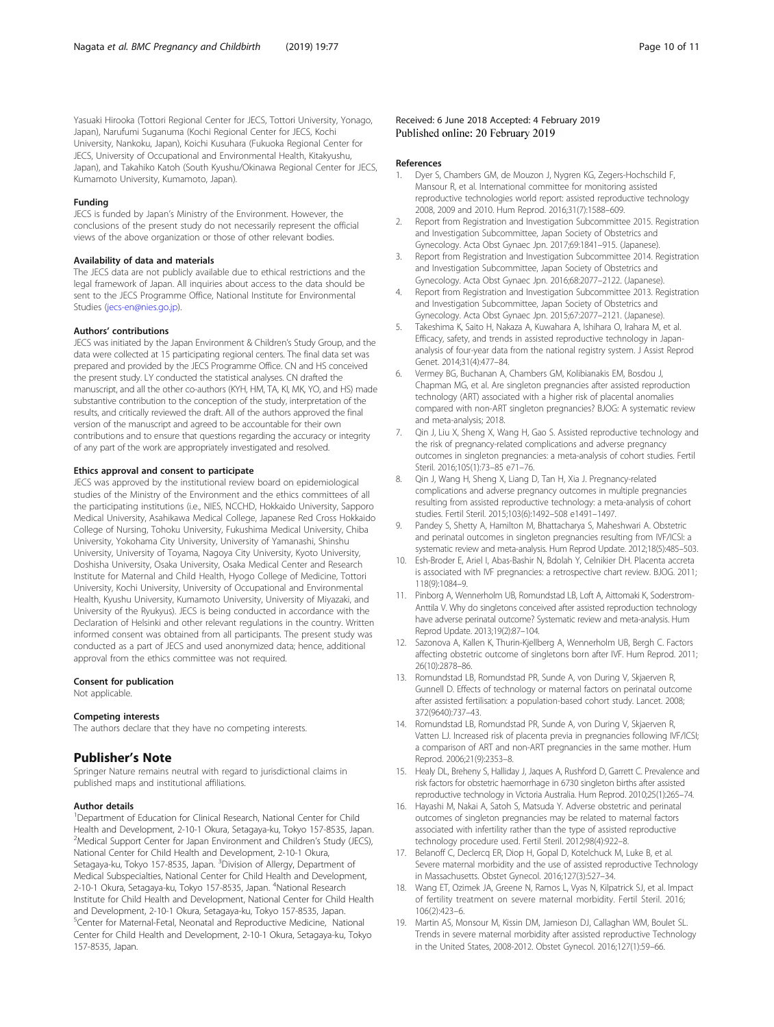<span id="page-9-0"></span>Yasuaki Hirooka (Tottori Regional Center for JECS, Tottori University, Yonago, Japan), Narufumi Suganuma (Kochi Regional Center for JECS, Kochi University, Nankoku, Japan), Koichi Kusuhara (Fukuoka Regional Center for JECS, University of Occupational and Environmental Health, Kitakyushu, Japan), and Takahiko Katoh (South Kyushu/Okinawa Regional Center for JECS, Kumamoto University, Kumamoto, Japan).

#### Funding

JECS is funded by Japan's Ministry of the Environment. However, the conclusions of the present study do not necessarily represent the official views of the above organization or those of other relevant bodies.

## Availability of data and materials

The JECS data are not publicly available due to ethical restrictions and the legal framework of Japan. All inquiries about access to the data should be sent to the JECS Programme Office, National Institute for Environmental Studies [\(jecs-en@nies.go.jp\)](mailto:jecs-en@nies.go.jp).

#### Authors' contributions

JECS was initiated by the Japan Environment & Children's Study Group, and the data were collected at 15 participating regional centers. The final data set was prepared and provided by the JECS Programme Office. CN and HS conceived the present study. LY conducted the statistical analyses. CN drafted the manuscript, and all the other co-authors (KYH, HM, TA, KI, MK, YO, and HS) made substantive contribution to the conception of the study, interpretation of the results, and critically reviewed the draft. All of the authors approved the final version of the manuscript and agreed to be accountable for their own contributions and to ensure that questions regarding the accuracy or integrity of any part of the work are appropriately investigated and resolved.

#### Ethics approval and consent to participate

JECS was approved by the institutional review board on epidemiological studies of the Ministry of the Environment and the ethics committees of all the participating institutions (i.e., NIES, NCCHD, Hokkaido University, Sapporo Medical University, Asahikawa Medical College, Japanese Red Cross Hokkaido College of Nursing, Tohoku University, Fukushima Medical University, Chiba University, Yokohama City University, University of Yamanashi, Shinshu University, University of Toyama, Nagoya City University, Kyoto University, Doshisha University, Osaka University, Osaka Medical Center and Research Institute for Maternal and Child Health, Hyogo College of Medicine, Tottori University, Kochi University, University of Occupational and Environmental Health, Kyushu University, Kumamoto University, University of Miyazaki, and University of the Ryukyus). JECS is being conducted in accordance with the Declaration of Helsinki and other relevant regulations in the country. Written informed consent was obtained from all participants. The present study was conducted as a part of JECS and used anonymized data; hence, additional approval from the ethics committee was not required.

#### Consent for publication

Not applicable.

#### Competing interests

The authors declare that they have no competing interests.

## Publisher's Note

Springer Nature remains neutral with regard to jurisdictional claims in published maps and institutional affiliations.

#### Author details

<sup>1</sup>Department of Education for Clinical Research, National Center for Child Health and Development, 2-10-1 Okura, Setagaya-ku, Tokyo 157-8535, Japan. <sup>2</sup>Medical Support Center for Japan Environment and Children's Study (JECS), National Center for Child Health and Development, 2-10-1 Okura, Setagaya-ku, Tokyo 157-8535, Japan. <sup>3</sup>Division of Allergy, Department of Medical Subspecialties, National Center for Child Health and Development, 2-10-1 Okura, Setagaya-ku, Tokyo 157-8535, Japan. <sup>4</sup>National Research Institute for Child Health and Development, National Center for Child Health and Development, 2-10-1 Okura, Setagaya-ku, Tokyo 157-8535, Japan. 5 Center for Maternal-Fetal, Neonatal and Reproductive Medicine, National Center for Child Health and Development, 2-10-1 Okura, Setagaya-ku, Tokyo 157-8535, Japan.

## Received: 6 June 2018 Accepted: 4 February 2019 Published online: 20 February 2019

#### References

- 1. Dyer S, Chambers GM, de Mouzon J, Nygren KG, Zegers-Hochschild F, Mansour R, et al. International committee for monitoring assisted reproductive technologies world report: assisted reproductive technology 2008, 2009 and 2010. Hum Reprod. 2016;31(7):1588–609.
- 2. Report from Registration and Investigation Subcommittee 2015. Registration and Investigation Subcommittee, Japan Society of Obstetrics and Gynecology. Acta Obst Gynaec Jpn. 2017;69:1841–915. (Japanese).
- 3. Report from Registration and Investigation Subcommittee 2014. Registration and Investigation Subcommittee, Japan Society of Obstetrics and Gynecology. Acta Obst Gynaec Jpn. 2016;68:2077–2122. (Japanese).
- 4. Report from Registration and Investigation Subcommittee 2013. Registration and Investigation Subcommittee, Japan Society of Obstetrics and Gynecology. Acta Obst Gynaec Jpn. 2015;67:2077–2121. (Japanese).
- 5. Takeshima K, Saito H, Nakaza A, Kuwahara A, Ishihara O, Irahara M, et al. Efficacy, safety, and trends in assisted reproductive technology in Japananalysis of four-year data from the national registry system. J Assist Reprod Genet. 2014;31(4):477–84.
- 6. Vermey BG, Buchanan A, Chambers GM, Kolibianakis EM, Bosdou J, Chapman MG, et al. Are singleton pregnancies after assisted reproduction technology (ART) associated with a higher risk of placental anomalies compared with non-ART singleton pregnancies? BJOG: A systematic review and meta-analysis; 2018.
- 7. Qin J, Liu X, Sheng X, Wang H, Gao S. Assisted reproductive technology and the risk of pregnancy-related complications and adverse pregnancy outcomes in singleton pregnancies: a meta-analysis of cohort studies. Fertil Steril. 2016;105(1):73–85 e71–76.
- Qin J, Wang H, Sheng X, Liang D, Tan H, Xia J. Pregnancy-related complications and adverse pregnancy outcomes in multiple pregnancies resulting from assisted reproductive technology: a meta-analysis of cohort studies. Fertil Steril. 2015;103(6):1492–508 e1491–1497.
- Pandey S, Shetty A, Hamilton M, Bhattacharya S, Maheshwari A. Obstetric and perinatal outcomes in singleton pregnancies resulting from IVF/ICSI: a systematic review and meta-analysis. Hum Reprod Update. 2012;18(5):485–503.
- 10. Esh-Broder E, Ariel I, Abas-Bashir N, Bdolah Y, Celnikier DH. Placenta accreta is associated with IVF pregnancies: a retrospective chart review. BJOG. 2011; 118(9):1084–9.
- 11. Pinborg A, Wennerholm UB, Romundstad LB, Loft A, Aittomaki K, Soderstrom-Anttila V. Why do singletons conceived after assisted reproduction technology have adverse perinatal outcome? Systematic review and meta-analysis. Hum Reprod Update. 2013;19(2):87–104.
- 12. Sazonova A, Kallen K, Thurin-Kjellberg A, Wennerholm UB, Bergh C. Factors affecting obstetric outcome of singletons born after IVF. Hum Reprod. 2011; 26(10):2878–86.
- 13. Romundstad LB, Romundstad PR, Sunde A, von During V, Skjaerven R, Gunnell D. Effects of technology or maternal factors on perinatal outcome after assisted fertilisation: a population-based cohort study. Lancet. 2008; 372(9640):737–43.
- 14. Romundstad LB, Romundstad PR, Sunde A, von During V, Skjaerven R, Vatten LJ. Increased risk of placenta previa in pregnancies following IVF/ICSI; a comparison of ART and non-ART pregnancies in the same mother. Hum Reprod. 2006;21(9):2353–8.
- 15. Healy DL, Breheny S, Halliday J, Jaques A, Rushford D, Garrett C. Prevalence and risk factors for obstetric haemorrhage in 6730 singleton births after assisted reproductive technology in Victoria Australia. Hum Reprod. 2010;25(1):265–74.
- 16. Hayashi M, Nakai A, Satoh S, Matsuda Y. Adverse obstetric and perinatal outcomes of singleton pregnancies may be related to maternal factors associated with infertility rather than the type of assisted reproductive technology procedure used. Fertil Steril. 2012;98(4):922–8.
- 17. Belanoff C, Declercq ER, Diop H, Gopal D, Kotelchuck M, Luke B, et al. Severe maternal morbidity and the use of assisted reproductive Technology in Massachusetts. Obstet Gynecol. 2016;127(3):527–34.
- 18. Wang ET, Ozimek JA, Greene N, Ramos L, Vyas N, Kilpatrick SJ, et al. Impact of fertility treatment on severe maternal morbidity. Fertil Steril. 2016; 106(2):423–6.
- 19. Martin AS, Monsour M, Kissin DM, Jamieson DJ, Callaghan WM, Boulet SL. Trends in severe maternal morbidity after assisted reproductive Technology in the United States, 2008-2012. Obstet Gynecol. 2016;127(1):59–66.